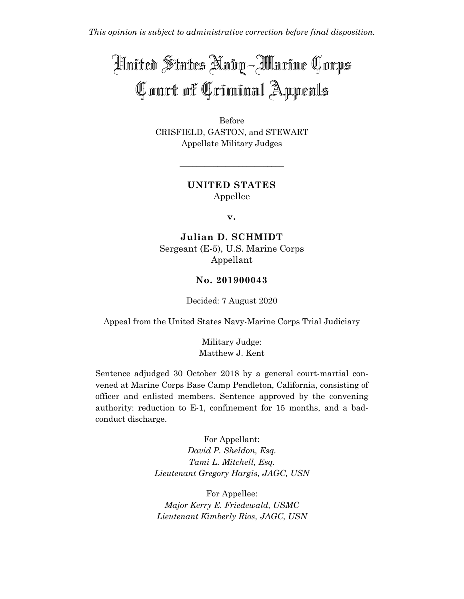*This opinion is subject to administrative correction before final disposition.*

# Anited States Naby - Marine Corps Court of Criminal Appeals

Before CRISFIELD, GASTON, and STEWART Appellate Military Judges

> **UNITED STATES** Appellee

\_\_\_\_\_\_\_\_\_\_\_\_\_\_\_\_\_\_\_\_\_\_\_\_\_

**v.**

**Julian D. SCHMIDT** Sergeant (E-5), U.S. Marine Corps Appellant

## **No. 201900043**

Decided: 7 August 2020

Appeal from the United States Navy-Marine Corps Trial Judiciary

Military Judge: Matthew J. Kent

Sentence adjudged 30 October 2018 by a general court-martial convened at Marine Corps Base Camp Pendleton, California, consisting of officer and enlisted members. Sentence approved by the convening authority: reduction to E-1, confinement for 15 months, and a badconduct discharge.

> For Appellant: *David P. Sheldon, Esq. Tami L. Mitchell, Esq. Lieutenant Gregory Hargis, JAGC, USN*

For Appellee: *Major Kerry E. Friedewald, USMC Lieutenant Kimberly Rios, JAGC, USN*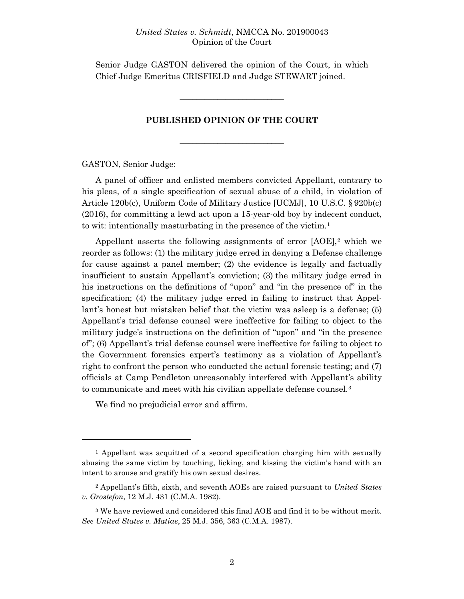Senior Judge GASTON delivered the opinion of the Court, in which Chief Judge Emeritus CRISFIELD and Judge STEWART joined.

\_\_\_\_\_\_\_\_\_\_\_\_\_\_\_\_\_\_\_\_\_\_\_\_\_

#### **PUBLISHED OPINION OF THE COURT**

\_\_\_\_\_\_\_\_\_\_\_\_\_\_\_\_\_\_\_\_\_\_\_\_\_

GASTON, Senior Judge:

A panel of officer and enlisted members convicted Appellant, contrary to his pleas, of a single specification of sexual abuse of a child, in violation of Article 120b(c), Uniform Code of Military Justice [UCMJ], 10 U.S.C. § 920b(c) (2016), for committing a lewd act upon a 15-year-old boy by indecent conduct, to wit: intentionally masturbating in the presence of the victim.[1](#page-1-0)

Appellant asserts the following assignments of error  $[AOE]$ ,<sup>[2](#page-1-1)</sup> which we reorder as follows: (1) the military judge erred in denying a Defense challenge for cause against a panel member; (2) the evidence is legally and factually insufficient to sustain Appellant's conviction; (3) the military judge erred in his instructions on the definitions of "upon" and "in the presence of" in the specification; (4) the military judge erred in failing to instruct that Appellant's honest but mistaken belief that the victim was asleep is a defense; (5) Appellant's trial defense counsel were ineffective for failing to object to the military judge's instructions on the definition of "upon" and "in the presence of"; (6) Appellant's trial defense counsel were ineffective for failing to object to the Government forensics expert's testimony as a violation of Appellant's right to confront the person who conducted the actual forensic testing; and (7) officials at Camp Pendleton unreasonably interfered with Appellant's ability to communicate and meet with his civilian appellate defense counsel.<sup>[3](#page-1-2)</sup>

We find no prejudicial error and affirm.

<span id="page-1-0"></span><sup>1</sup> Appellant was acquitted of a second specification charging him with sexually abusing the same victim by touching, licking, and kissing the victim's hand with an intent to arouse and gratify his own sexual desires.

<span id="page-1-1"></span><sup>2</sup> Appellant's fifth, sixth, and seventh AOEs are raised pursuant to *United States v. Grostefon*, 12 M.J. 431 (C.M.A. 1982).

<span id="page-1-2"></span><sup>3</sup> We have reviewed and considered this final AOE and find it to be without merit. *See United States v. Matias*, 25 M.J. 356, 363 (C.M.A. 1987).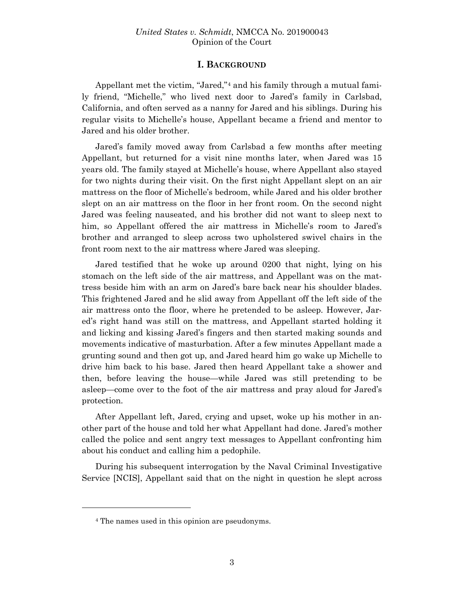## **I. BACKGROUND**

Appellant met the victim, "Jared,"[4](#page-2-0) and his family through a mutual family friend, "Michelle," who lived next door to Jared's family in Carlsbad, California, and often served as a nanny for Jared and his siblings. During his regular visits to Michelle's house, Appellant became a friend and mentor to Jared and his older brother.

Jared's family moved away from Carlsbad a few months after meeting Appellant, but returned for a visit nine months later, when Jared was 15 years old. The family stayed at Michelle's house, where Appellant also stayed for two nights during their visit. On the first night Appellant slept on an air mattress on the floor of Michelle's bedroom, while Jared and his older brother slept on an air mattress on the floor in her front room. On the second night Jared was feeling nauseated, and his brother did not want to sleep next to him, so Appellant offered the air mattress in Michelle's room to Jared's brother and arranged to sleep across two upholstered swivel chairs in the front room next to the air mattress where Jared was sleeping.

Jared testified that he woke up around 0200 that night, lying on his stomach on the left side of the air mattress, and Appellant was on the mattress beside him with an arm on Jared's bare back near his shoulder blades. This frightened Jared and he slid away from Appellant off the left side of the air mattress onto the floor, where he pretended to be asleep. However, Jared's right hand was still on the mattress, and Appellant started holding it and licking and kissing Jared's fingers and then started making sounds and movements indicative of masturbation. After a few minutes Appellant made a grunting sound and then got up, and Jared heard him go wake up Michelle to drive him back to his base. Jared then heard Appellant take a shower and then, before leaving the house—while Jared was still pretending to be asleep—come over to the foot of the air mattress and pray aloud for Jared's protection.

After Appellant left, Jared, crying and upset, woke up his mother in another part of the house and told her what Appellant had done. Jared's mother called the police and sent angry text messages to Appellant confronting him about his conduct and calling him a pedophile.

During his subsequent interrogation by the Naval Criminal Investigative Service [NCIS], Appellant said that on the night in question he slept across

<span id="page-2-0"></span><sup>4</sup> The names used in this opinion are pseudonyms.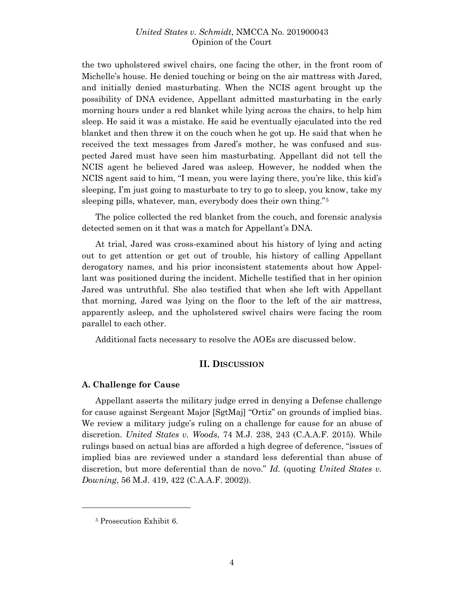the two upholstered swivel chairs, one facing the other, in the front room of Michelle's house. He denied touching or being on the air mattress with Jared, and initially denied masturbating. When the NCIS agent brought up the possibility of DNA evidence, Appellant admitted masturbating in the early morning hours under a red blanket while lying across the chairs, to help him sleep. He said it was a mistake. He said he eventually ejaculated into the red blanket and then threw it on the couch when he got up. He said that when he received the text messages from Jared's mother, he was confused and suspected Jared must have seen him masturbating. Appellant did not tell the NCIS agent he believed Jared was asleep. However, he nodded when the NCIS agent said to him, "I mean, you were laying there, you're like, this kid's sleeping, I'm just going to masturbate to try to go to sleep, you know, take my sleeping pills, whatever, man, everybody does their own thing."[5](#page-3-0)

The police collected the red blanket from the couch, and forensic analysis detected semen on it that was a match for Appellant's DNA.

At trial, Jared was cross-examined about his history of lying and acting out to get attention or get out of trouble, his history of calling Appellant derogatory names, and his prior inconsistent statements about how Appellant was positioned during the incident. Michelle testified that in her opinion Jared was untruthful. She also testified that when she left with Appellant that morning, Jared was lying on the floor to the left of the air mattress, apparently asleep, and the upholstered swivel chairs were facing the room parallel to each other.

Additional facts necessary to resolve the AOEs are discussed below.

#### **II. DISCUSSION**

#### **A. Challenge for Cause**

Appellant asserts the military judge erred in denying a Defense challenge for cause against Sergeant Major [SgtMaj] "Ortiz" on grounds of implied bias. We review a military judge's ruling on a challenge for cause for an abuse of discretion. *United States v. Woods*, 74 M.J. 238, 243 (C.A.A.F. 2015). While rulings based on actual bias are afforded a high degree of deference, "issues of implied bias are reviewed under a standard less deferential than abuse of discretion, but more deferential than de novo." *Id.* (quoting *United States v. Downing*, 56 M.J. 419, 422 (C.A.A.F. 2002)).

<span id="page-3-0"></span><sup>5</sup> Prosecution Exhibit 6.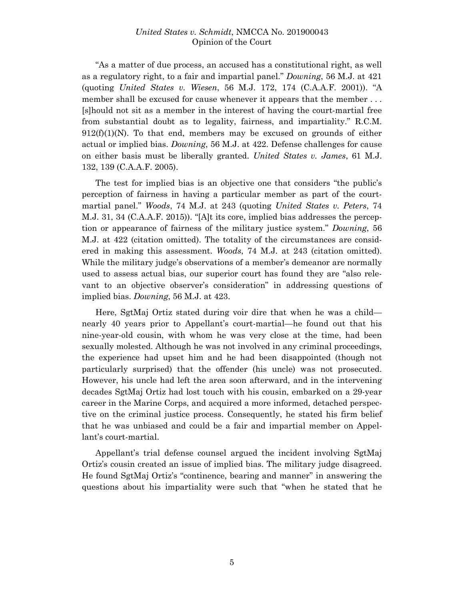"As a matter of due process, an accused has a constitutional right, as well as a regulatory right, to a fair and impartial panel." *Downing*, 56 M.J. at 421 (quoting *United States v. Wiesen*, 56 M.J. 172, 174 (C.A.A.F. 2001)). "A member shall be excused for cause whenever it appears that the member ... [s]hould not sit as a member in the interest of having the court-martial free from substantial doubt as to legality, fairness, and impartiality." R.C.M.  $912(f)(1)(N)$ . To that end, members may be excused on grounds of either actual or implied bias. *Downing*, 56 M.J. at 422. Defense challenges for cause on either basis must be liberally granted. *United States v. James*, 61 M.J. 132, 139 (C.A.A.F. 2005).

The test for implied bias is an objective one that considers "the public's perception of fairness in having a particular member as part of the courtmartial panel." *Woods*, 74 M.J. at 243 (quoting *United States v. Peters*, 74 M.J. 31, 34 (C.A.A.F. 2015)). "[A]t its core, implied bias addresses the perception or appearance of fairness of the military justice system." *Downing*, 56 M.J. at 422 (citation omitted). The totality of the circumstances are considered in making this assessment. *Woods*, 74 M.J. at 243 (citation omitted). While the military judge's observations of a member's demeanor are normally used to assess actual bias, our superior court has found they are "also relevant to an objective observer's consideration" in addressing questions of implied bias. *Downing*, 56 M.J. at 423.

Here, SgtMaj Ortiz stated during voir dire that when he was a child nearly 40 years prior to Appellant's court-martial—he found out that his nine-year-old cousin, with whom he was very close at the time, had been sexually molested. Although he was not involved in any criminal proceedings, the experience had upset him and he had been disappointed (though not particularly surprised) that the offender (his uncle) was not prosecuted. However, his uncle had left the area soon afterward, and in the intervening decades SgtMaj Ortiz had lost touch with his cousin, embarked on a 29-year career in the Marine Corps, and acquired a more informed, detached perspective on the criminal justice process. Consequently, he stated his firm belief that he was unbiased and could be a fair and impartial member on Appellant's court-martial.

Appellant's trial defense counsel argued the incident involving SgtMaj Ortiz's cousin created an issue of implied bias. The military judge disagreed. He found SgtMaj Ortiz's "continence, bearing and manner" in answering the questions about his impartiality were such that "when he stated that he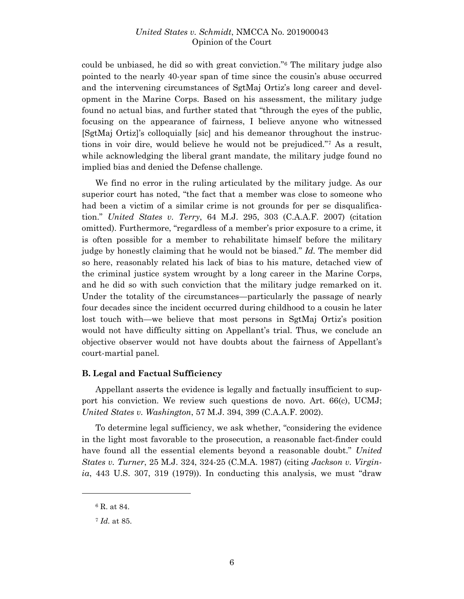could be unbiased, he did so with great conviction."[6](#page-5-0) The military judge also pointed to the nearly 40-year span of time since the cousin's abuse occurred and the intervening circumstances of SgtMaj Ortiz's long career and development in the Marine Corps. Based on his assessment, the military judge found no actual bias, and further stated that "through the eyes of the public, focusing on the appearance of fairness, I believe anyone who witnessed [SgtMaj Ortiz]'s colloquially [sic] and his demeanor throughout the instructions in voir dire, would believe he would not be prejudiced."[7](#page-5-1) As a result, while acknowledging the liberal grant mandate, the military judge found no implied bias and denied the Defense challenge.

We find no error in the ruling articulated by the military judge. As our superior court has noted, "the fact that a member was close to someone who had been a victim of a similar crime is not grounds for per se disqualification." *United States v. Terry*, 64 M.J. 295, 303 (C.A.A.F. 2007) (citation omitted). Furthermore, "regardless of a member's prior exposure to a crime, it is often possible for a member to rehabilitate himself before the military judge by honestly claiming that he would not be biased." *Id.* The member did so here, reasonably related his lack of bias to his mature, detached view of the criminal justice system wrought by a long career in the Marine Corps, and he did so with such conviction that the military judge remarked on it. Under the totality of the circumstances—particularly the passage of nearly four decades since the incident occurred during childhood to a cousin he later lost touch with—we believe that most persons in SgtMaj Ortiz's position would not have difficulty sitting on Appellant's trial. Thus, we conclude an objective observer would not have doubts about the fairness of Appellant's court-martial panel.

### **B. Legal and Factual Sufficiency**

Appellant asserts the evidence is legally and factually insufficient to support his conviction. We review such questions de novo. Art. 66(c), UCMJ; *United States v. Washington*, 57 M.J. 394, 399 (C.A.A.F. 2002).

To determine legal sufficiency, we ask whether, "considering the evidence in the light most favorable to the prosecution, a reasonable fact-finder could have found all the essential elements beyond a reasonable doubt." *United States v. Turner*, 25 M.J. 324, 324-25 (C.M.A. 1987) (citing *Jackson v. Virginia*, 443 U.S. 307, 319 (1979)). In conducting this analysis, we must "draw

<span id="page-5-0"></span><sup>6</sup> R. at 84.

<span id="page-5-1"></span><sup>7</sup> *Id.* at 85.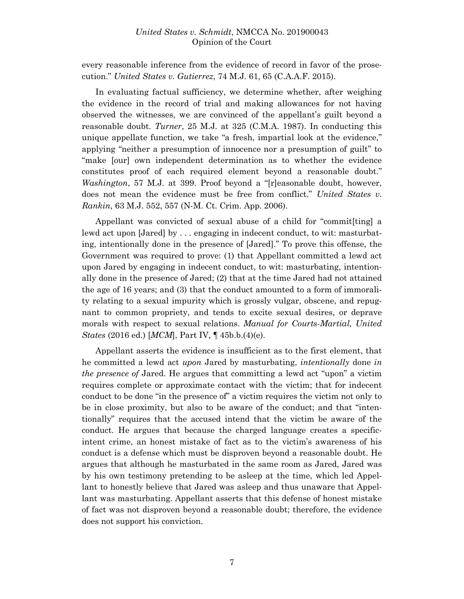every reasonable inference from the evidence of record in favor of the prosecution." *United States v. Gutierrez*, 74 M.J. 61, 65 (C.A.A.F. 2015).

In evaluating factual sufficiency, we determine whether, after weighing the evidence in the record of trial and making allowances for not having observed the witnesses, we are convinced of the appellant's guilt beyond a reasonable doubt. *Turner*, 25 M.J. at 325 (C.M.A. 1987). In conducting this unique appellate function, we take "a fresh, impartial look at the evidence," applying "neither a presumption of innocence nor a presumption of guilt" to "make [our] own independent determination as to whether the evidence constitutes proof of each required element beyond a reasonable doubt." *Washington*, 57 M.J. at 399. Proof beyond a "[r]easonable doubt, however, does not mean the evidence must be free from conflict." *United States v. Rankin,* 63 M.J. 552, 557 (N-M. Ct. Crim. App. 2006).

Appellant was convicted of sexual abuse of a child for "commit[ting] a lewd act upon [Jared] by . . . engaging in indecent conduct, to wit: masturbating, intentionally done in the presence of [Jared]." To prove this offense, the Government was required to prove: (1) that Appellant committed a lewd act upon Jared by engaging in indecent conduct, to wit: masturbating, intentionally done in the presence of Jared; (2) that at the time Jared had not attained the age of 16 years; and (3) that the conduct amounted to a form of immorality relating to a sexual impurity which is grossly vulgar, obscene, and repugnant to common propriety, and tends to excite sexual desires, or deprave morals with respect to sexual relations. *Manual for Courts-Martial, United States* (2016 ed.) [*MCM*], Part IV, ¶ 45b.b.(4)(e).

Appellant asserts the evidence is insufficient as to the first element, that he committed a lewd act *upon* Jared by masturbating, *intentionally* done *in the presence of* Jared. He argues that committing a lewd act "upon" a victim requires complete or approximate contact with the victim; that for indecent conduct to be done "in the presence of" a victim requires the victim not only to be in close proximity, but also to be aware of the conduct; and that "intentionally" requires that the accused intend that the victim be aware of the conduct. He argues that because the charged language creates a specificintent crime, an honest mistake of fact as to the victim's awareness of his conduct is a defense which must be disproven beyond a reasonable doubt. He argues that although he masturbated in the same room as Jared, Jared was by his own testimony pretending to be asleep at the time, which led Appellant to honestly believe that Jared was asleep and thus unaware that Appellant was masturbating. Appellant asserts that this defense of honest mistake of fact was not disproven beyond a reasonable doubt; therefore, the evidence does not support his conviction.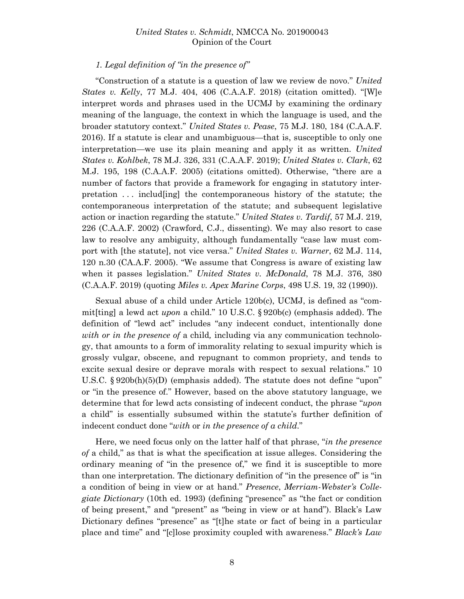#### *1. Legal definition of "in the presence of"*

"Construction of a statute is a question of law we review de novo." *United States v. Kelly*, 77 M.J. 404, 406 (C.A.A.F. 2018) (citation omitted). "[W]e interpret words and phrases used in the UCMJ by examining the ordinary meaning of the language, the context in which the language is used, and the broader statutory context." *United States v. Pease*, 75 M.J. 180, 184 (C.A.A.F. 2016). If a statute is clear and unambiguous—that is, susceptible to only one interpretation—we use its plain meaning and apply it as written. *United States v. Kohlbek*, 78 M.J. 326, 331 (C.A.A.F. 2019); *United States v. Clark*, 62 M.J. 195, 198 (C.A.A.F. 2005) (citations omitted). Otherwise, "there are a number of factors that provide a framework for engaging in statutory interpretation . . . includ[ing] the contemporaneous history of the statute; the contemporaneous interpretation of the statute; and subsequent legislative action or inaction regarding the statute." *United States v. Tardif*, 57 M.J. 219, 226 (C.A.A.F. 2002) (Crawford, C.J., dissenting). We may also resort to case law to resolve any ambiguity, although fundamentally "case law must comport with [the statute], not vice versa." *United States v. Warner*, 62 M.J. 114, 120 n.30 (CA.A.F. 2005). "We assume that Congress is aware of existing law when it passes legislation." *United States v. McDonald*, 78 M.J. 376, 380 (C.A.A.F. 2019) (quoting *Miles v. Apex Marine Corps*, 498 U.S. 19, 32 (1990)).

Sexual abuse of a child under Article 120b(c), UCMJ, is defined as "commit[ting] a lewd act *upon* a child." 10 U.S.C. § 920b(c) (emphasis added). The definition of "lewd act" includes "any indecent conduct, intentionally done *with or in the presence of* a child*,* including via any communication technology, that amounts to a form of immorality relating to sexual impurity which is grossly vulgar, obscene, and repugnant to common propriety, and tends to excite sexual desire or deprave morals with respect to sexual relations." 10 U.S.C. § 920b(h)(5)(D) (emphasis added). The statute does not define "upon" or "in the presence of." However, based on the above statutory language, we determine that for lewd acts consisting of indecent conduct, the phrase "*upon* a child" is essentially subsumed within the statute's further definition of indecent conduct done "*with* or *in the presence of a child*."

Here, we need focus only on the latter half of that phrase, "*in the presence of* a child," as that is what the specification at issue alleges. Considering the ordinary meaning of "in the presence of," we find it is susceptible to more than one interpretation. The dictionary definition of "in the presence of" is "in a condition of being in view or at hand." *Presence*, *Merriam-Webster's Collegiate Dictionary* (10th ed. 1993) (defining "presence" as "the fact or condition of being present," and "present" as "being in view or at hand"). Black's Law Dictionary defines "presence" as "[t]he state or fact of being in a particular place and time" and "[c]lose proximity coupled with awareness." *Black's Law*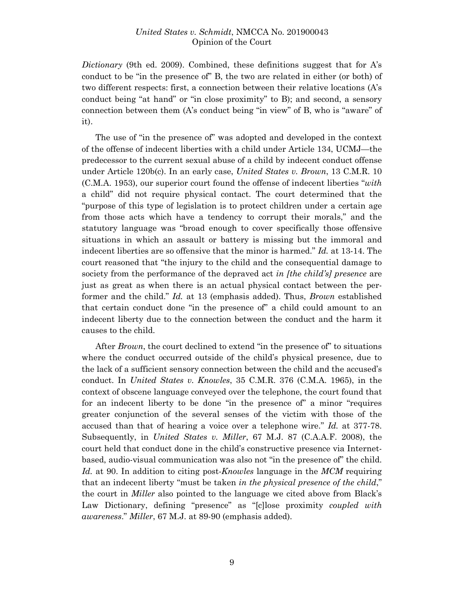*Dictionary* (9th ed. 2009). Combined, these definitions suggest that for A's conduct to be "in the presence of" B, the two are related in either (or both) of two different respects: first, a connection between their relative locations (A's conduct being "at hand" or "in close proximity" to B); and second, a sensory connection between them (A's conduct being "in view" of B, who is "aware" of it).

The use of "in the presence of" was adopted and developed in the context of the offense of indecent liberties with a child under Article 134, UCMJ—the predecessor to the current sexual abuse of a child by indecent conduct offense under Article 120b(c). In an early case, *United States v. Brown*, 13 C.M.R. 10 (C.M.A. 1953), our superior court found the offense of indecent liberties "*with* a child" did not require physical contact. The court determined that the "purpose of this type of legislation is to protect children under a certain age from those acts which have a tendency to corrupt their morals," and the statutory language was "broad enough to cover specifically those offensive situations in which an assault or battery is missing but the immoral and indecent liberties are so offensive that the minor is harmed." *Id.* at 13-14. The court reasoned that "the injury to the child and the consequential damage to society from the performance of the depraved act *in [the child's] presence* are just as great as when there is an actual physical contact between the performer and the child." *Id.* at 13 (emphasis added). Thus, *Brown* established that certain conduct done "in the presence of" a child could amount to an indecent liberty due to the connection between the conduct and the harm it causes to the child.

After *Brown*, the court declined to extend "in the presence of" to situations where the conduct occurred outside of the child's physical presence, due to the lack of a sufficient sensory connection between the child and the accused's conduct. In *United States v. Knowles*, 35 C.M.R. 376 (C.M.A. 1965), in the context of obscene language conveyed over the telephone, the court found that for an indecent liberty to be done "in the presence of" a minor "requires greater conjunction of the several senses of the victim with those of the accused than that of hearing a voice over a telephone wire." *Id.* at 377-78. Subsequently, in *United States v. Miller*, 67 M.J. 87 (C.A.A.F. 2008), the court held that conduct done in the child's constructive presence via Internetbased, audio-visual communication was also not "in the presence of" the child. *Id.* at 90. In addition to citing post-*Knowles* language in the *MCM* requiring that an indecent liberty "must be taken *in the physical presence of the child*," the court in *Miller* also pointed to the language we cited above from Black's Law Dictionary, defining "presence" as "[c]lose proximity *coupled with awareness*." *Miller*, 67 M.J. at 89-90 (emphasis added).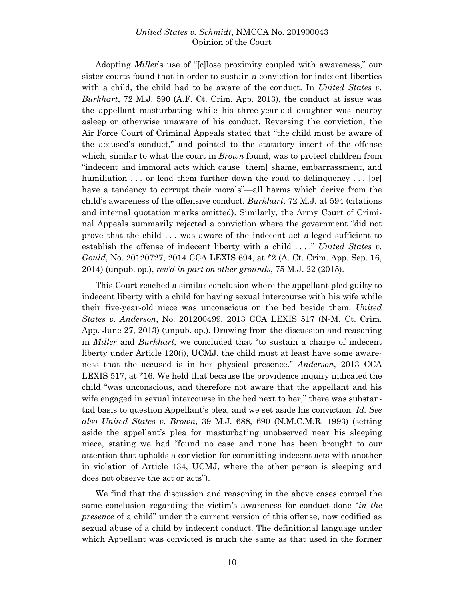Adopting *Miller*'s use of "[c]lose proximity coupled with awareness," our sister courts found that in order to sustain a conviction for indecent liberties with a child, the child had to be aware of the conduct. In *United States v. Burkhart*, 72 M.J. 590 (A.F. Ct. Crim. App. 2013), the conduct at issue was the appellant masturbating while his three-year-old daughter was nearby asleep or otherwise unaware of his conduct. Reversing the conviction, the Air Force Court of Criminal Appeals stated that "the child must be aware of the accused's conduct," and pointed to the statutory intent of the offense which, similar to what the court in *Brown* found, was to protect children from "indecent and immoral acts which cause [them] shame, embarrassment, and humiliation ... or lead them further down the road to delinquency ... [or] have a tendency to corrupt their morals"—all harms which derive from the child's awareness of the offensive conduct. *Burkhart*, 72 M.J. at 594 (citations and internal quotation marks omitted). Similarly, the Army Court of Criminal Appeals summarily rejected a conviction where the government "did not prove that the child . . . was aware of the indecent act alleged sufficient to establish the offense of indecent liberty with a child . . . ." *United States v. Gould*, No. 20120727, 2014 CCA LEXIS 694, at \*2 (A. Ct. Crim. App. Sep. 16, 2014) (unpub. op.), *rev'd in part on other grounds*, 75 M.J. 22 (2015).

This Court reached a similar conclusion where the appellant pled guilty to indecent liberty with a child for having sexual intercourse with his wife while their five-year-old niece was unconscious on the bed beside them. *United States v. Anderson*, No. 201200499, 2013 CCA LEXIS 517 (N-M. Ct. Crim. App. June 27, 2013) (unpub. op.). Drawing from the discussion and reasoning in *Miller* and *Burkhart*, we concluded that "to sustain a charge of indecent liberty under Article 120(j), UCMJ, the child must at least have some awareness that the accused is in her physical presence." *Anderson*, 2013 CCA LEXIS 517, at \*16. We held that because the providence inquiry indicated the child "was unconscious, and therefore not aware that the appellant and his wife engaged in sexual intercourse in the bed next to her," there was substantial basis to question Appellant's plea, and we set aside his conviction. *Id. See also United States v. Brown*, 39 M.J. 688, 690 (N.M.C.M.R. 1993) (setting aside the appellant's plea for masturbating unobserved near his sleeping niece, stating we had "found no case and none has been brought to our attention that upholds a conviction for committing indecent acts with another in violation of Article 134, UCMJ, where the other person is sleeping and does not observe the act or acts").

We find that the discussion and reasoning in the above cases compel the same conclusion regarding the victim's awareness for conduct done "*in the presence* of a child" under the current version of this offense, now codified as sexual abuse of a child by indecent conduct. The definitional language under which Appellant was convicted is much the same as that used in the former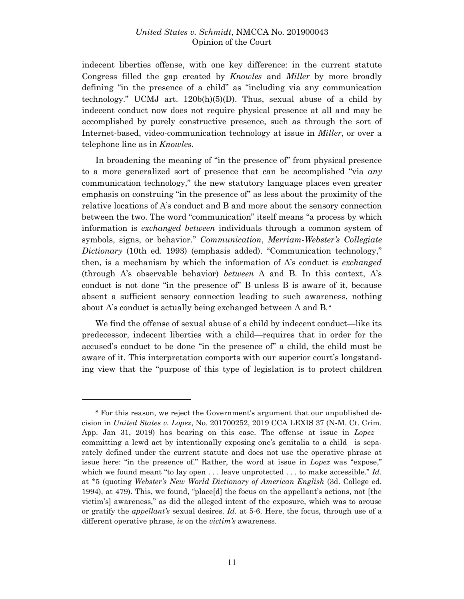indecent liberties offense, with one key difference: in the current statute Congress filled the gap created by *Knowles* and *Miller* by more broadly defining "in the presence of a child" as "including via any communication technology." UCMJ art. 120b(h)(5)(D). Thus, sexual abuse of a child by indecent conduct now does not require physical presence at all and may be accomplished by purely constructive presence, such as through the sort of Internet-based, video-communication technology at issue in *Miller*, or over a telephone line as in *Knowles*.

In broadening the meaning of "in the presence of" from physical presence to a more generalized sort of presence that can be accomplished "via *any*  communication technology," the new statutory language places even greater emphasis on construing "in the presence of" as less about the proximity of the relative locations of A's conduct and B and more about the sensory connection between the two. The word "communication" itself means "a process by which information is *exchanged between* individuals through a common system of symbols, signs, or behavior." *Communication*, *Merriam-Webster's Collegiate Dictionary* (10th ed. 1993) (emphasis added). "Communication technology," then, is a mechanism by which the information of A's conduct is *exchanged* (through A's observable behavior) *between* A and B. In this context, A's conduct is not done "in the presence of" B unless B is aware of it, because absent a sufficient sensory connection leading to such awareness, nothing about A's conduct is actually being exchanged between A and B.[8](#page-10-0)

We find the offense of sexual abuse of a child by indecent conduct—like its predecessor, indecent liberties with a child—requires that in order for the accused's conduct to be done "in the presence of" a child, the child must be aware of it. This interpretation comports with our superior court's longstanding view that the "purpose of this type of legislation is to protect children

<span id="page-10-0"></span><sup>8</sup> For this reason, we reject the Government's argument that our unpublished decision in *United States v. Lopez*, No. 201700252, 2019 CCA LEXIS 37 (N-M. Ct. Crim. App. Jan 31, 2019) has bearing on this case. The offense at issue in *Lopez* committing a lewd act by intentionally exposing one's genitalia to a child—is separately defined under the current statute and does not use the operative phrase at issue here: "in the presence of." Rather, the word at issue in *Lopez* was "expose," which we found meant "to lay open . . . leave unprotected . . . to make accessible." *Id.* at \*5 (quoting *Webster's New World Dictionary of American English* (3d. College ed. 1994), at 479). This, we found, "place[d] the focus on the appellant's actions, not [the victim's] awareness," as did the alleged intent of the exposure, which was to arouse or gratify the *appellant's* sexual desires. *Id.* at 5-6. Here, the focus, through use of a different operative phrase, *is* on the *victim's* awareness.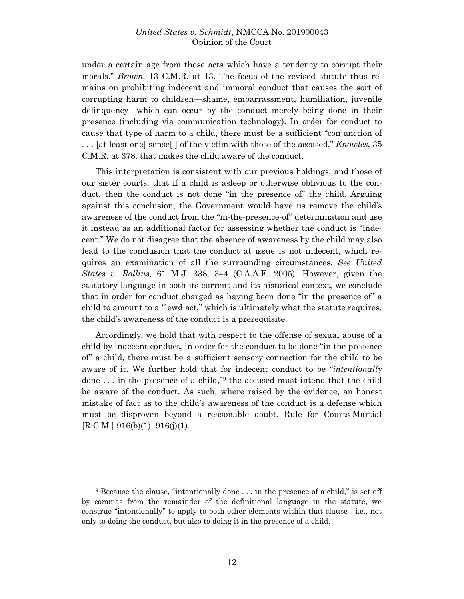under a certain age from those acts which have a tendency to corrupt their morals." *Brown*, 13 C.M.R. at 13. The focus of the revised statute thus remains on prohibiting indecent and immoral conduct that causes the sort of corrupting harm to children—shame, embarrassment, humiliation, juvenile delinquency—which can occur by the conduct merely being done in their presence (including via communication technology). In order for conduct to cause that type of harm to a child, there must be a sufficient "conjunction of . . . [at least one] sense[ ] of the victim with those of the accused," *Knowles*, 35 C.M.R. at 378, that makes the child aware of the conduct.

This interpretation is consistent with our previous holdings, and those of our sister courts, that if a child is asleep or otherwise oblivious to the conduct, then the conduct is not done "in the presence of" the child. Arguing against this conclusion, the Government would have us remove the child's awareness of the conduct from the "in-the-presence-of" determination and use it instead as an additional factor for assessing whether the conduct is "indecent." We do not disagree that the absence of awareness by the child may also lead to the conclusion that the conduct at issue is not indecent, which requires an examination of all the surrounding circumstances. *See United States v. Rollins,* 61 M.J. 338, 344 (C.A.A.F. 2005). However, given the statutory language in both its current and its historical context, we conclude that in order for conduct charged as having been done "in the presence of" a child to amount to a "lewd act," which is ultimately what the statute requires, the child's awareness of the conduct is a prerequisite.

Accordingly, we hold that with respect to the offense of sexual abuse of a child by indecent conduct, in order for the conduct to be done "in the presence of" a child, there must be a sufficient sensory connection for the child to be aware of it. We further hold that for indecent conduct to be "*intentionally* done  $\dots$  in the presence of a child,"<sup>9</sup> the accused must intend that the child be aware of the conduct. As such, where raised by the evidence, an honest mistake of fact as to the child's awareness of the conduct is a defense which must be disproven beyond a reasonable doubt. Rule for Courts-Martial  $[R.C.M.]$  916(b)(1), 916(j)(1).

<span id="page-11-0"></span><sup>9</sup> Because the clause, "intentionally done . . . in the presence of a child," is set off by commas from the remainder of the definitional language in the statute, we construe "intentionally" to apply to both other elements within that clause—i.e., not only to doing the conduct, but also to doing it in the presence of a child.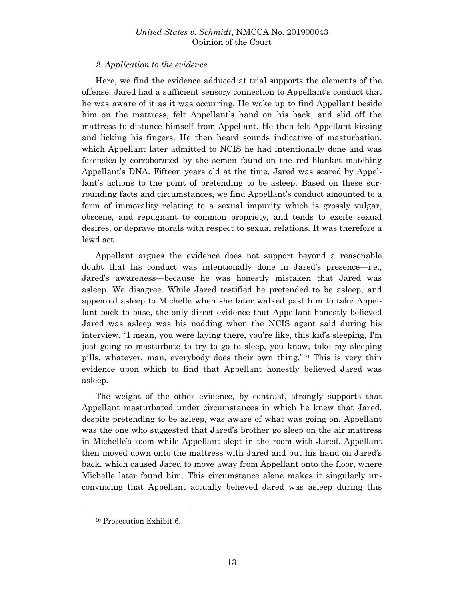## *2. Application to the evidence*

Here, we find the evidence adduced at trial supports the elements of the offense. Jared had a sufficient sensory connection to Appellant's conduct that he was aware of it as it was occurring. He woke up to find Appellant beside him on the mattress, felt Appellant's hand on his back, and slid off the mattress to distance himself from Appellant. He then felt Appellant kissing and licking his fingers. He then heard sounds indicative of masturbation, which Appellant later admitted to NCIS he had intentionally done and was forensically corroborated by the semen found on the red blanket matching Appellant's DNA. Fifteen years old at the time, Jared was scared by Appellant's actions to the point of pretending to be asleep. Based on these surrounding facts and circumstances, we find Appellant's conduct amounted to a form of immorality relating to a sexual impurity which is grossly vulgar, obscene, and repugnant to common propriety, and tends to excite sexual desires, or deprave morals with respect to sexual relations. It was therefore a lewd act.

Appellant argues the evidence does not support beyond a reasonable doubt that his conduct was intentionally done in Jared's presence—i.e., Jared's awareness—because he was honestly mistaken that Jared was asleep. We disagree. While Jared testified he pretended to be asleep, and appeared asleep to Michelle when she later walked past him to take Appellant back to base, the only direct evidence that Appellant honestly believed Jared was asleep was his nodding when the NCIS agent said during his interview, "I mean, you were laying there, you're like, this kid's sleeping, I'm just going to masturbate to try to go to sleep, you know, take my sleeping pills, whatever, man, everybody does their own thing."[10](#page-12-0) This is very thin evidence upon which to find that Appellant honestly believed Jared was asleep.

The weight of the other evidence, by contrast, strongly supports that Appellant masturbated under circumstances in which he knew that Jared, despite pretending to be asleep, was aware of what was going on. Appellant was the one who suggested that Jared's brother go sleep on the air mattress in Michelle's room while Appellant slept in the room with Jared. Appellant then moved down onto the mattress with Jared and put his hand on Jared's back, which caused Jared to move away from Appellant onto the floor, where Michelle later found him. This circumstance alone makes it singularly unconvincing that Appellant actually believed Jared was asleep during this

<span id="page-12-0"></span><sup>10</sup> Prosecution Exhibit 6.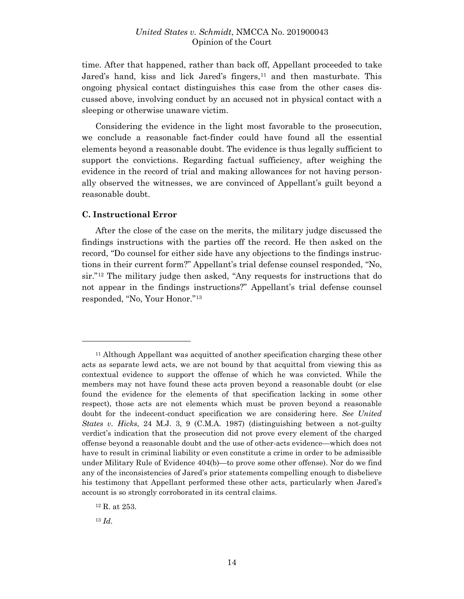time. After that happened, rather than back off, Appellant proceeded to take Jared's hand, kiss and lick Jared's fingers,<sup>[11](#page-13-0)</sup> and then masturbate. This ongoing physical contact distinguishes this case from the other cases discussed above, involving conduct by an accused not in physical contact with a sleeping or otherwise unaware victim.

Considering the evidence in the light most favorable to the prosecution, we conclude a reasonable fact-finder could have found all the essential elements beyond a reasonable doubt. The evidence is thus legally sufficient to support the convictions. Regarding factual sufficiency, after weighing the evidence in the record of trial and making allowances for not having personally observed the witnesses, we are convinced of Appellant's guilt beyond a reasonable doubt.

#### **C. Instructional Error**

After the close of the case on the merits, the military judge discussed the findings instructions with the parties off the record. He then asked on the record, "Do counsel for either side have any objections to the findings instructions in their current form?" Appellant's trial defense counsel responded, "No, sir."[12](#page-13-1) The military judge then asked, "Any requests for instructions that do not appear in the findings instructions?" Appellant's trial defense counsel responded, "No, Your Honor."[13](#page-13-2)

<span id="page-13-2"></span><sup>13</sup> *Id.*

<span id="page-13-0"></span><sup>11</sup> Although Appellant was acquitted of another specification charging these other acts as separate lewd acts, we are not bound by that acquittal from viewing this as contextual evidence to support the offense of which he was convicted. While the members may not have found these acts proven beyond a reasonable doubt (or else found the evidence for the elements of that specification lacking in some other respect), those acts are not elements which must be proven beyond a reasonable doubt for the indecent-conduct specification we are considering here. *See United States v. Hicks*, 24 M.J. 3, 9 (C.M.A. 1987) (distinguishing between a not-guilty verdict's indication that the prosecution did not prove every element of the charged offense beyond a reasonable doubt and the use of other-acts evidence—which does not have to result in criminal liability or even constitute a crime in order to be admissible under Military Rule of Evidence 404(b)—to prove some other offense). Nor do we find any of the inconsistencies of Jared's prior statements compelling enough to disbelieve his testimony that Appellant performed these other acts, particularly when Jared's account is so strongly corroborated in its central claims.

<span id="page-13-1"></span><sup>12</sup> R. at 253.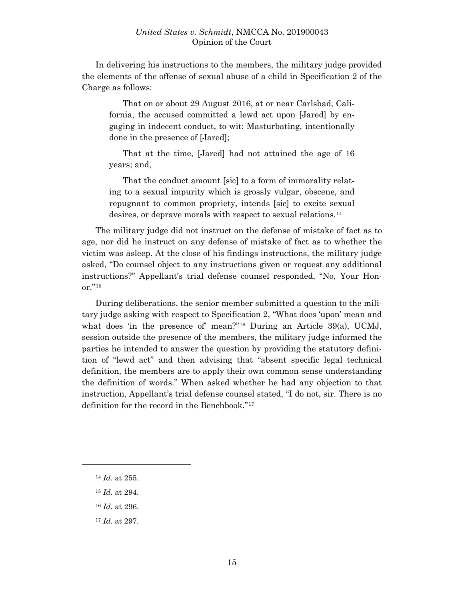In delivering his instructions to the members, the military judge provided the elements of the offense of sexual abuse of a child in Specification 2 of the Charge as follows:

That on or about 29 August 2016, at or near Carlsbad, California, the accused committed a lewd act upon [Jared] by engaging in indecent conduct, to wit: Masturbating, intentionally done in the presence of [Jared];

That at the time, [Jared] had not attained the age of 16 years; and,

That the conduct amount [sic] to a form of immorality relating to a sexual impurity which is grossly vulgar, obscene, and repugnant to common propriety, intends [sic] to excite sexual desires, or deprave morals with respect to sexual relations.[14](#page-14-0)

The military judge did not instruct on the defense of mistake of fact as to age, nor did he instruct on any defense of mistake of fact as to whether the victim was asleep. At the close of his findings instructions, the military judge asked, "Do counsel object to any instructions given or request any additional instructions?" Appellant's trial defense counsel responded, "No, Your Honor."[15](#page-14-1)

During deliberations, the senior member submitted a question to the military judge asking with respect to Specification 2, "What does 'upon' mean and what does 'in the presence of' mean?"<sup>[16](#page-14-2)</sup> During an Article 39(a), UCMJ, session outside the presence of the members, the military judge informed the parties he intended to answer the question by providing the statutory definition of "lewd act" and then advising that "absent specific legal technical definition, the members are to apply their own common sense understanding the definition of words." When asked whether he had any objection to that instruction, Appellant's trial defense counsel stated, "I do not, sir. There is no definition for the record in the Benchbook."[17](#page-14-3)

<span id="page-14-0"></span><sup>14</sup> *Id.* at 255.

- <span id="page-14-1"></span><sup>15</sup> *Id.* at 294.
- <span id="page-14-2"></span><sup>16</sup> *Id.* at 296.
- <span id="page-14-3"></span><sup>17</sup> *Id.* at 297.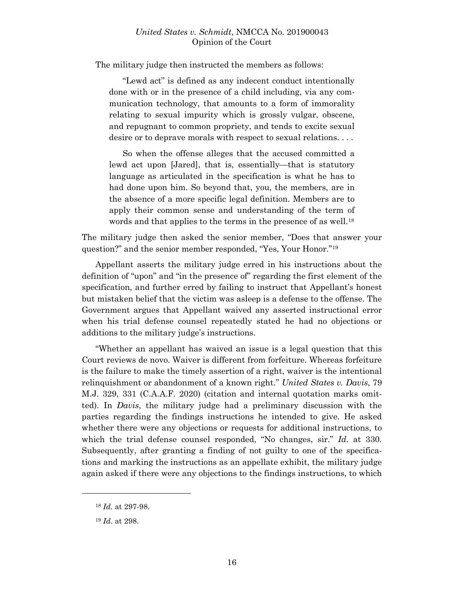The military judge then instructed the members as follows:

"Lewd act" is defined as any indecent conduct intentionally done with or in the presence of a child including, via any communication technology, that amounts to a form of immorality relating to sexual impurity which is grossly vulgar, obscene, and repugnant to common propriety, and tends to excite sexual desire or to deprave morals with respect to sexual relations. . . .

So when the offense alleges that the accused committed a lewd act upon [Jared], that is, essentially—that is statutory language as articulated in the specification is what he has to had done upon him. So beyond that, you, the members, are in the absence of a more specific legal definition. Members are to apply their common sense and understanding of the term of words and that applies to the terms in the presence of as well.<sup>[18](#page-15-0)</sup>

The military judge then asked the senior member, "Does that answer your question?" and the senior member responded, "Yes, Your Honor."[19](#page-15-1)

Appellant asserts the military judge erred in his instructions about the definition of "upon" and "in the presence of" regarding the first element of the specification, and further erred by failing to instruct that Appellant's honest but mistaken belief that the victim was asleep is a defense to the offense. The Government argues that Appellant waived any asserted instructional error when his trial defense counsel repeatedly stated he had no objections or additions to the military judge's instructions.

"Whether an appellant has waived an issue is a legal question that this Court reviews de novo. Waiver is different from forfeiture. Whereas forfeiture is the failure to make the timely assertion of a right, waiver is the intentional relinquishment or abandonment of a known right." *United States v. Davis*, 79 M.J. 329, 331 (C.A.A.F. 2020) (citation and internal quotation marks omitted). In *Davis*, the military judge had a preliminary discussion with the parties regarding the findings instructions he intended to give. He asked whether there were any objections or requests for additional instructions, to which the trial defense counsel responded, "No changes, sir." *Id.* at 330. Subsequently, after granting a finding of not guilty to one of the specifications and marking the instructions as an appellate exhibit, the military judge again asked if there were any objections to the findings instructions, to which

<span id="page-15-0"></span><sup>18</sup> *Id.* at 297-98.

<span id="page-15-1"></span><sup>19</sup> *Id.* at 298.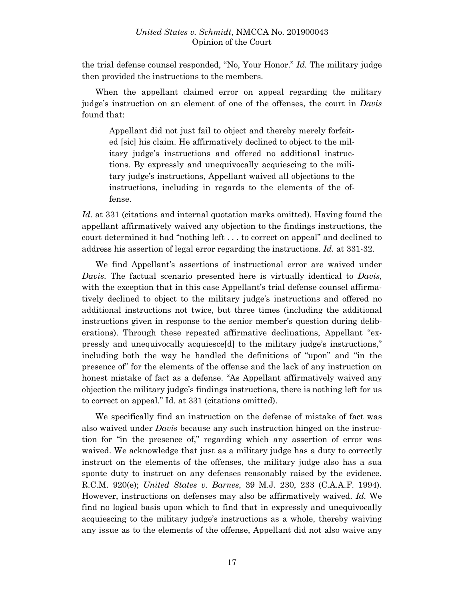the trial defense counsel responded, "No, Your Honor." *Id.* The military judge then provided the instructions to the members.

When the appellant claimed error on appeal regarding the military judge's instruction on an element of one of the offenses, the court in *Davis* found that:

Appellant did not just fail to object and thereby merely forfeited [sic] his claim. He affirmatively declined to object to the military judge's instructions and offered no additional instructions. By expressly and unequivocally acquiescing to the military judge's instructions, Appellant waived all objections to the instructions, including in regards to the elements of the offense.

*Id.* at 331 (citations and internal quotation marks omitted). Having found the appellant affirmatively waived any objection to the findings instructions, the court determined it had "nothing left . . . to correct on appeal" and declined to address his assertion of legal error regarding the instructions. *Id.* at 331-32.

We find Appellant's assertions of instructional error are waived under *Davis*. The factual scenario presented here is virtually identical to *Davis*, with the exception that in this case Appellant's trial defense counsel affirmatively declined to object to the military judge's instructions and offered no additional instructions not twice, but three times (including the additional instructions given in response to the senior member's question during deliberations). Through these repeated affirmative declinations, Appellant "expressly and unequivocally acquiesce[d] to the military judge's instructions," including both the way he handled the definitions of "upon" and "in the presence of" for the elements of the offense and the lack of any instruction on honest mistake of fact as a defense. "As Appellant affirmatively waived any objection the military judge's findings instructions, there is nothing left for us to correct on appeal." Id. at 331 (citations omitted).

We specifically find an instruction on the defense of mistake of fact was also waived under *Davis* because any such instruction hinged on the instruction for "in the presence of," regarding which any assertion of error was waived. We acknowledge that just as a military judge has a duty to correctly instruct on the elements of the offenses, the military judge also has a sua sponte duty to instruct on any defenses reasonably raised by the evidence. R.C.M. 920(e); *United States v. Barnes*, 39 M.J. 230, 233 (C.A.A.F. 1994). However, instructions on defenses may also be affirmatively waived. *Id.* We find no logical basis upon which to find that in expressly and unequivocally acquiescing to the military judge's instructions as a whole, thereby waiving any issue as to the elements of the offense, Appellant did not also waive any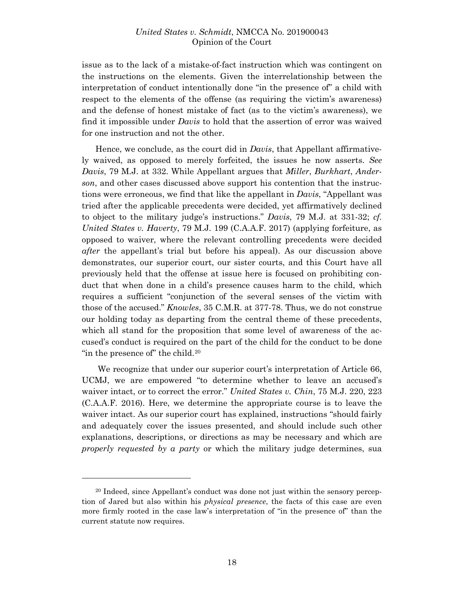issue as to the lack of a mistake-of-fact instruction which was contingent on the instructions on the elements. Given the interrelationship between the interpretation of conduct intentionally done "in the presence of" a child with respect to the elements of the offense (as requiring the victim's awareness) and the defense of honest mistake of fact (as to the victim's awareness), we find it impossible under *Davis* to hold that the assertion of error was waived for one instruction and not the other.

Hence, we conclude, as the court did in *Davis*, that Appellant affirmatively waived, as opposed to merely forfeited, the issues he now asserts. *See Davis*, 79 M.J. at 332. While Appellant argues that *Miller*, *Burkhart*, *Anderson*, and other cases discussed above support his contention that the instructions were erroneous, we find that like the appellant in *Davis*, "Appellant was tried after the applicable precedents were decided, yet affirmatively declined to object to the military judge's instructions." *Davis*, 79 M.J. at 331-32; *cf. United States v. Haverty*, 79 M.J. 199 (C.A.A.F. 2017) (applying forfeiture, as opposed to waiver, where the relevant controlling precedents were decided *after* the appellant's trial but before his appeal). As our discussion above demonstrates, our superior court, our sister courts, and this Court have all previously held that the offense at issue here is focused on prohibiting conduct that when done in a child's presence causes harm to the child, which requires a sufficient "conjunction of the several senses of the victim with those of the accused." *Knowles*, 35 C.M.R. at 377-78. Thus, we do not construe our holding today as departing from the central theme of these precedents, which all stand for the proposition that some level of awareness of the accused's conduct is required on the part of the child for the conduct to be done "in the presence of" the child.<sup>[20](#page-17-0)</sup>

We recognize that under our superior court's interpretation of Article 66, UCMJ, we are empowered "to determine whether to leave an accused's waiver intact, or to correct the error." *United States v. Chin*, 75 M.J. 220, 223 (C.A.A.F. 2016). Here, we determine the appropriate course is to leave the waiver intact. As our superior court has explained, instructions "should fairly and adequately cover the issues presented, and should include such other explanations, descriptions, or directions as may be necessary and which are *properly requested by a party* or which the military judge determines, sua

<span id="page-17-0"></span><sup>20</sup> Indeed, since Appellant's conduct was done not just within the sensory perception of Jared but also within his *physical presence*, the facts of this case are even more firmly rooted in the case law's interpretation of "in the presence of" than the current statute now requires.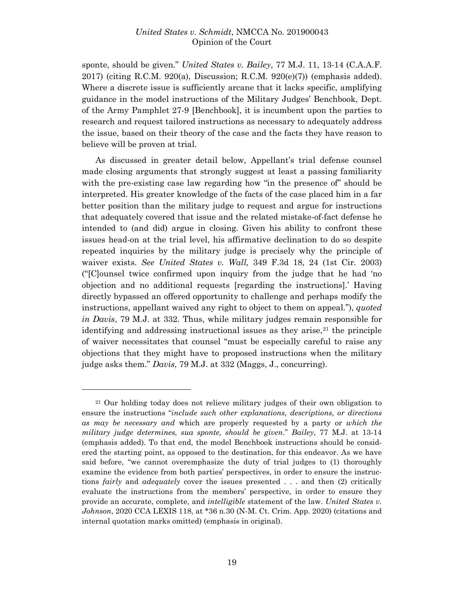sponte, should be given." *United States v. Bailey*, 77 M.J. 11, 13-14 (C.A.A.F. 2017) (citing R.C.M. 920(a), Discussion; R.C.M. 920(e)(7)) (emphasis added). Where a discrete issue is sufficiently arcane that it lacks specific, amplifying guidance in the model instructions of the Military Judges' Benchbook, Dept. of the Army Pamphlet 27-9 [Benchbook], it is incumbent upon the parties to research and request tailored instructions as necessary to adequately address the issue, based on their theory of the case and the facts they have reason to believe will be proven at trial.

As discussed in greater detail below, Appellant's trial defense counsel made closing arguments that strongly suggest at least a passing familiarity with the pre-existing case law regarding how "in the presence of" should be interpreted. His greater knowledge of the facts of the case placed him in a far better position than the military judge to request and argue for instructions that adequately covered that issue and the related mistake-of-fact defense he intended to (and did) argue in closing. Given his ability to confront these issues head-on at the trial level, his affirmative declination to do so despite repeated inquiries by the military judge is precisely why the principle of waiver exists. *See United States v. Wall,* 349 F.3d 18, 24 (1st Cir. 2003) ("[C]ounsel twice confirmed upon inquiry from the judge that he had 'no objection and no additional requests [regarding the instructions].' Having directly bypassed an offered opportunity to challenge and perhaps modify the instructions, appellant waived any right to object to them on appeal."), *quoted in Davis*, 79 M.J. at 332. Thus, while military judges remain responsible for identifying and addressing instructional issues as they arise, $2<sup>1</sup>$  the principle of waiver necessitates that counsel "must be especially careful to raise any objections that they might have to proposed instructions when the military judge asks them." *Davis*, 79 M.J. at 332 (Maggs, J., concurring).

<span id="page-18-0"></span><sup>21</sup> Our holding today does not relieve military judges of their own obligation to ensure the instructions "*include such other explanations, descriptions, or directions as may be necessary and* which are properly requested by a party or *which the military judge determines, sua sponte, should be given*." *Bailey*, 77 M.J. at 13-14 (emphasis added). To that end, the model Benchbook instructions should be considered the starting point, as opposed to the destination, for this endeavor. As we have said before, "we cannot overemphasize the duty of trial judges to (1) thoroughly examine the evidence from both parties' perspectives, in order to ensure the instructions *fairly* and *adequately* cover the issues presented . . . and then (2) critically evaluate the instructions from the members' perspective, in order to ensure they provide an accurate, complete, and *intelligible* statement of the law. *United States v. Johnson*, 2020 CCA LEXIS 118, at \*36 n.30 (N-M. Ct. Crim. App. 2020) (citations and internal quotation marks omitted) (emphasis in original).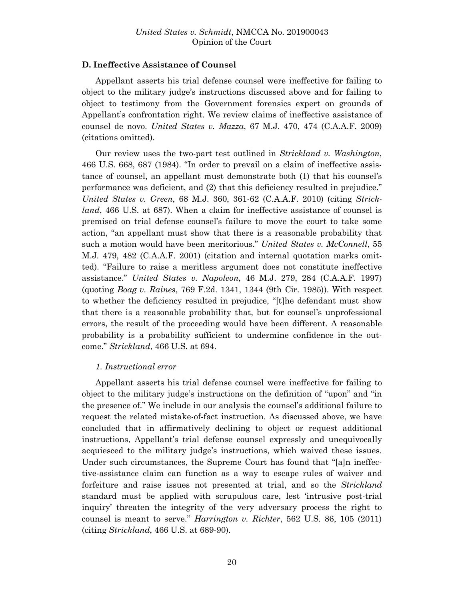## **D. Ineffective Assistance of Counsel**

Appellant asserts his trial defense counsel were ineffective for failing to object to the military judge's instructions discussed above and for failing to object to testimony from the Government forensics expert on grounds of Appellant's confrontation right. We review claims of ineffective assistance of counsel de novo. *United States v. Mazza*, 67 M.J. 470, 474 (C.A.A.F. 2009) (citations omitted).

Our review uses the two-part test outlined in *Strickland v. Washington*, 466 U.S. 668, 687 (1984). "In order to prevail on a claim of ineffective assistance of counsel, an appellant must demonstrate both (1) that his counsel's performance was deficient, and (2) that this deficiency resulted in prejudice." *United States v. Green*, 68 M.J. 360, 361-62 (C.A.A.F. 2010) (citing *Strickland*, 466 U.S. at 687). When a claim for ineffective assistance of counsel is premised on trial defense counsel's failure to move the court to take some action, "an appellant must show that there is a reasonable probability that such a motion would have been meritorious." *United States v. McConnell*, 55 M.J. 479, 482 (C.A.A.F. 2001) (citation and internal quotation marks omitted). "Failure to raise a meritless argument does not constitute ineffective assistance." *United States v. Napoleon*, 46 M.J. 279, 284 (C.A.A.F. 1997) (quoting *Boag v. Raines*, 769 F.2d. 1341, 1344 (9th Cir. 1985)). With respect to whether the deficiency resulted in prejudice, "[t]he defendant must show that there is a reasonable probability that, but for counsel's unprofessional errors, the result of the proceeding would have been different. A reasonable probability is a probability sufficient to undermine confidence in the outcome." *Strickland*, 466 U.S. at 694.

## *1. Instructional error*

Appellant asserts his trial defense counsel were ineffective for failing to object to the military judge's instructions on the definition of "upon" and "in the presence of." We include in our analysis the counsel's additional failure to request the related mistake-of-fact instruction. As discussed above, we have concluded that in affirmatively declining to object or request additional instructions, Appellant's trial defense counsel expressly and unequivocally acquiesced to the military judge's instructions, which waived these issues. Under such circumstances, the Supreme Court has found that "[a]n ineffective-assistance claim can function as a way to escape rules of waiver and forfeiture and raise issues not presented at trial, and so the *Strickland* standard must be applied with scrupulous care, lest 'intrusive post-trial inquiry' threaten the integrity of the very adversary process the right to counsel is meant to serve." *Harrington v. Richter*, 562 U.S. 86, 105 (2011) (citing *Strickland*, 466 U.S. at 689-90).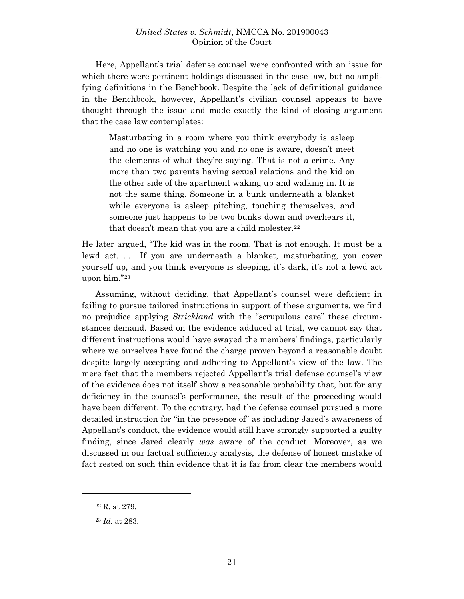Here, Appellant's trial defense counsel were confronted with an issue for which there were pertinent holdings discussed in the case law, but no amplifying definitions in the Benchbook. Despite the lack of definitional guidance in the Benchbook, however, Appellant's civilian counsel appears to have thought through the issue and made exactly the kind of closing argument that the case law contemplates:

Masturbating in a room where you think everybody is asleep and no one is watching you and no one is aware, doesn't meet the elements of what they're saying. That is not a crime. Any more than two parents having sexual relations and the kid on the other side of the apartment waking up and walking in. It is not the same thing. Someone in a bunk underneath a blanket while everyone is asleep pitching, touching themselves, and someone just happens to be two bunks down and overhears it, that doesn't mean that you are a child molester.<sup>[22](#page-20-0)</sup>

He later argued, "The kid was in the room. That is not enough. It must be a lewd act. . . . If you are underneath a blanket, masturbating, you cover yourself up, and you think everyone is sleeping, it's dark, it's not a lewd act upon him."[23](#page-20-1)

Assuming, without deciding, that Appellant's counsel were deficient in failing to pursue tailored instructions in support of these arguments, we find no prejudice applying *Strickland* with the "scrupulous care" these circumstances demand. Based on the evidence adduced at trial, we cannot say that different instructions would have swayed the members' findings, particularly where we ourselves have found the charge proven beyond a reasonable doubt despite largely accepting and adhering to Appellant's view of the law. The mere fact that the members rejected Appellant's trial defense counsel's view of the evidence does not itself show a reasonable probability that, but for any deficiency in the counsel's performance, the result of the proceeding would have been different. To the contrary, had the defense counsel pursued a more detailed instruction for "in the presence of" as including Jared's awareness of Appellant's conduct, the evidence would still have strongly supported a guilty finding, since Jared clearly *was* aware of the conduct. Moreover, as we discussed in our factual sufficiency analysis, the defense of honest mistake of fact rested on such thin evidence that it is far from clear the members would

<span id="page-20-0"></span><sup>22</sup> R. at 279.

<span id="page-20-1"></span><sup>23</sup> *Id.* at 283.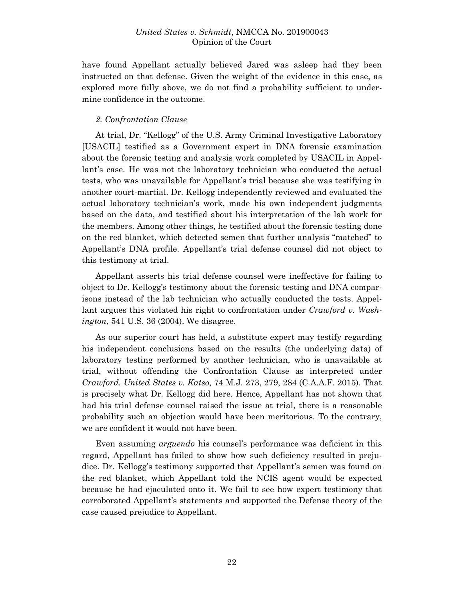have found Appellant actually believed Jared was asleep had they been instructed on that defense. Given the weight of the evidence in this case, as explored more fully above, we do not find a probability sufficient to undermine confidence in the outcome.

### *2. Confrontation Clause*

At trial, Dr. "Kellogg" of the U.S. Army Criminal Investigative Laboratory [USACIL] testified as a Government expert in DNA forensic examination about the forensic testing and analysis work completed by USACIL in Appellant's case. He was not the laboratory technician who conducted the actual tests, who was unavailable for Appellant's trial because she was testifying in another court-martial. Dr. Kellogg independently reviewed and evaluated the actual laboratory technician's work, made his own independent judgments based on the data, and testified about his interpretation of the lab work for the members. Among other things, he testified about the forensic testing done on the red blanket, which detected semen that further analysis "matched" to Appellant's DNA profile. Appellant's trial defense counsel did not object to this testimony at trial.

Appellant asserts his trial defense counsel were ineffective for failing to object to Dr. Kellogg's testimony about the forensic testing and DNA comparisons instead of the lab technician who actually conducted the tests. Appellant argues this violated his right to confrontation under *Crawford v. Washington*, 541 U.S. 36 (2004). We disagree.

As our superior court has held, a substitute expert may testify regarding his independent conclusions based on the results (the underlying data) of laboratory testing performed by another technician, who is unavailable at trial, without offending the Confrontation Clause as interpreted under *Crawford*. *United States v. Katso*, 74 M.J. 273, 279, 284 (C.A.A.F. 2015). That is precisely what Dr. Kellogg did here. Hence, Appellant has not shown that had his trial defense counsel raised the issue at trial, there is a reasonable probability such an objection would have been meritorious. To the contrary, we are confident it would not have been.

Even assuming *arguendo* his counsel's performance was deficient in this regard, Appellant has failed to show how such deficiency resulted in prejudice. Dr. Kellogg's testimony supported that Appellant's semen was found on the red blanket, which Appellant told the NCIS agent would be expected because he had ejaculated onto it. We fail to see how expert testimony that corroborated Appellant's statements and supported the Defense theory of the case caused prejudice to Appellant.